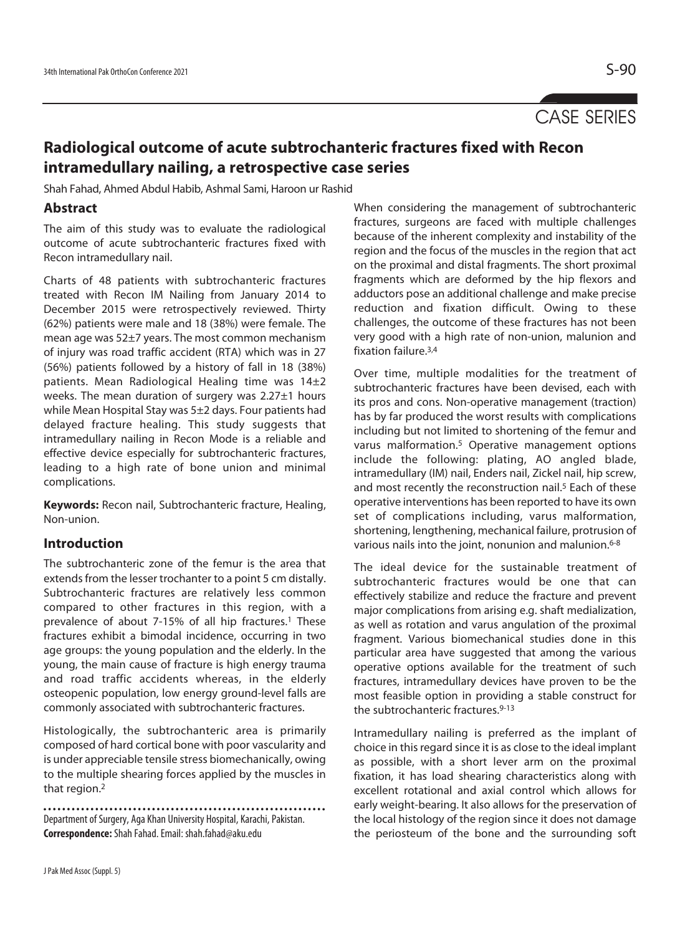# CASE SERIES

## **Radiological outcome of acute subtrochanteric fractures fixed with Recon intramedullary nailing, a retrospective case series**

Shah Fahad, Ahmed Abdul Habib, Ashmal Sami, Haroon ur Rashid

#### **Abstract**

The aim of this study was to evaluate the radiological outcome of acute subtrochanteric fractures fixed with Recon intramedullary nail.

Charts of 48 patients with subtrochanteric fractures treated with Recon IM Nailing from January 2014 to December 2015 were retrospectively reviewed. Thirty (62%) patients were male and 18 (38%) were female. The mean age was 52±7 years. The most common mechanism of injury was road traffic accident (RTA) which was in 27 (56%) patients followed by a history of fall in 18 (38%) patients. Mean Radiological Healing time was 14±2 weeks. The mean duration of surgery was 2.27±1 hours while Mean Hospital Stay was 5±2 days. Four patients had delayed fracture healing. This study suggests that intramedullary nailing in Recon Mode is a reliable and effective device especially for subtrochanteric fractures, leading to a high rate of bone union and minimal complications.

**Keywords:** Recon nail, Subtrochanteric fracture, Healing, Non-union.

#### **Introduction**

The subtrochanteric zone of the femur is the area that extends from the lesser trochanter to a point 5 cm distally. Subtrochanteric fractures are relatively less common compared to other fractures in this region, with a prevalence of about 7-15% of all hip fractures.<sup>1</sup> These fractures exhibit a bimodal incidence, occurring in two age groups: the young population and the elderly. In the young, the main cause of fracture is high energy trauma and road traffic accidents whereas, in the elderly osteopenic population, low energy ground-level falls are commonly associated with subtrochanteric fractures.

Histologically, the subtrochanteric area is primarily composed of hard cortical bone with poor vascularity and is under appreciable tensile stress biomechanically, owing to the multiple shearing forces applied by the muscles in that region.<sup>2</sup>

Department of Surgery, Aga Khan University Hospital, Karachi, Pakistan. **Correspondence:** Shah Fahad. Email: shah.fahad@aku.edu

When considering the management of subtrochanteric fractures, surgeons are faced with multiple challenges because of the inherent complexity and instability of the region and the focus of the muscles in the region that act on the proximal and distal fragments. The short proximal fragments which are deformed by the hip flexors and adductors pose an additional challenge and make precise reduction and fixation difficult. Owing to these challenges, the outcome of these fractures has not been very good with a high rate of non-union, malunion and fixation failure.3,4

Over time, multiple modalities for the treatment of subtrochanteric fractures have been devised, each with its pros and cons. Non-operative management (traction) has by far produced the worst results with complications including but not limited to shortening of the femur and varus malformation.5 Operative management options include the following: plating, AO angled blade, intramedullary (IM) nail, Enders nail, Zickel nail, hip screw, and most recently the reconstruction nail.<sup>5</sup> Each of these operative interventions has been reported to have its own set of complications including, varus malformation, shortening, lengthening, mechanical failure, protrusion of various nails into the joint, nonunion and malunion.<sup>6-8</sup>

The ideal device for the sustainable treatment of subtrochanteric fractures would be one that can effectively stabilize and reduce the fracture and prevent major complications from arising e.g. shaft medialization, as well as rotation and varus angulation of the proximal fragment. Various biomechanical studies done in this particular area have suggested that among the various operative options available for the treatment of such fractures, intramedullary devices have proven to be the most feasible option in providing a stable construct for the subtrochanteric fractures.9-13

Intramedullary nailing is preferred as the implant of choice in this regard since it is as close to the ideal implant as possible, with a short lever arm on the proximal fixation, it has load shearing characteristics along with excellent rotational and axial control which allows for early weight-bearing. It also allows for the preservation of the local histology of the region since it does not damage the periosteum of the bone and the surrounding soft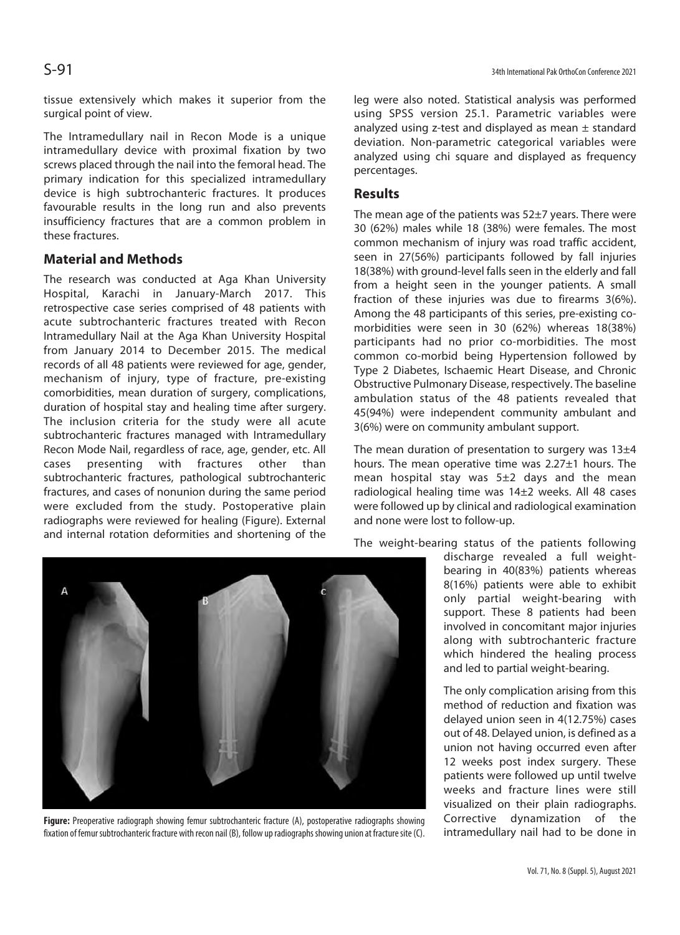tissue extensively which makes it superior from the surgical point of view.

The Intramedullary nail in Recon Mode is a unique intramedullary device with proximal fixation by two screws placed through the nail into the femoral head. The primary indication for this specialized intramedullary device is high subtrochanteric fractures. It produces favourable results in the long run and also prevents insufficiency fractures that are a common problem in these fractures.

#### **Material and Methods**

The research was conducted at Aga Khan University Hospital, Karachi in January-March 2017. This retrospective case series comprised of 48 patients with acute subtrochanteric fractures treated with Recon Intramedullary Nail at the Aga Khan University Hospital from January 2014 to December 2015. The medical records of all 48 patients were reviewed for age, gender, mechanism of injury, type of fracture, pre-existing comorbidities, mean duration of surgery, complications, duration of hospital stay and healing time after surgery. The inclusion criteria for the study were all acute subtrochanteric fractures managed with Intramedullary Recon Mode Nail, regardless of race, age, gender, etc. All cases presenting with fractures other than subtrochanteric fractures, pathological subtrochanteric fractures, and cases of nonunion during the same period were excluded from the study. Postoperative plain radiographs were reviewed for healing (Figure). External and internal rotation deformities and shortening of the

leg were also noted. Statistical analysis was performed using SPSS version 25.1. Parametric variables were analyzed using z-test and displayed as mean  $\pm$  standard deviation. Non-parametric categorical variables were analyzed using chi square and displayed as frequency percentages.

#### **Results**

The mean age of the patients was 52±7 years. There were 30 (62%) males while 18 (38%) were females. The most common mechanism of injury was road traffic accident, seen in 27(56%) participants followed by fall injuries 18(38%) with ground-level falls seen in the elderly and fall from a height seen in the younger patients. A small fraction of these injuries was due to firearms 3(6%). Among the 48 participants of this series, pre-existing comorbidities were seen in 30 (62%) whereas 18(38%) participants had no prior co-morbidities. The most common co-morbid being Hypertension followed by Type 2 Diabetes, Ischaemic Heart Disease, and Chronic Obstructive Pulmonary Disease, respectively. The baseline ambulation status of the 48 patients revealed that 45(94%) were independent community ambulant and 3(6%) were on community ambulant support.

The mean duration of presentation to surgery was  $13\pm4$ hours. The mean operative time was 2.27±1 hours. The mean hospital stay was 5±2 days and the mean radiological healing time was 14±2 weeks. All 48 cases were followed up by clinical and radiological examination and none were lost to follow-up.

The weight-bearing status of the patients following

discharge revealed a full weightbearing in 40(83%) patients whereas 8(16%) patients were able to exhibit only partial weight-bearing with support. These 8 patients had been involved in concomitant major injuries along with subtrochanteric fracture which hindered the healing process and led to partial weight-bearing.

The only complication arising from this method of reduction and fixation was delayed union seen in 4(12.75%) cases out of 48. Delayed union, is defined as a union not having occurred even after 12 weeks post index surgery. These patients were followed up until twelve weeks and fracture lines were still visualized on their plain radiographs. Corrective dynamization of the intramedullary nail had to be done in



**Figure:** Preoperative radiograph showing femur subtrochanteric fracture (A), postoperative radiographs showing fixation of femur subtrochanteric fracture with recon nail (B), follow up radiographs showing union at fracture site (C).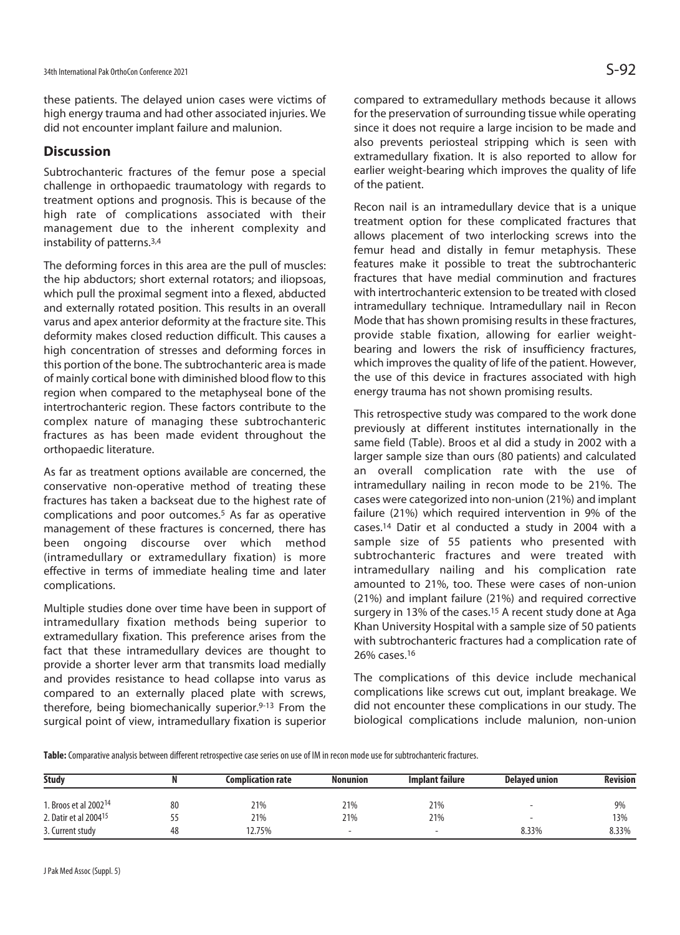these patients. The delayed union cases were victims of high energy trauma and had other associated injuries. We did not encounter implant failure and malunion.

### **Discussion**

Subtrochanteric fractures of the femur pose a special challenge in orthopaedic traumatology with regards to treatment options and prognosis. This is because of the high rate of complications associated with their management due to the inherent complexity and instability of patterns.3,4

The deforming forces in this area are the pull of muscles: the hip abductors; short external rotators; and iliopsoas, which pull the proximal segment into a flexed, abducted and externally rotated position. This results in an overall varus and apex anterior deformity at the fracture site. This deformity makes closed reduction difficult. This causes a high concentration of stresses and deforming forces in this portion of the bone. The subtrochanteric area is made of mainly cortical bone with diminished blood flow to this region when compared to the metaphyseal bone of the intertrochanteric region. These factors contribute to the complex nature of managing these subtrochanteric fractures as has been made evident throughout the orthopaedic literature.

As far as treatment options available are concerned, the conservative non-operative method of treating these fractures has taken a backseat due to the highest rate of complications and poor outcomes.5 As far as operative management of these fractures is concerned, there has been ongoing discourse over which method (intramedullary or extramedullary fixation) is more effective in terms of immediate healing time and later complications.

Multiple studies done over time have been in support of intramedullary fixation methods being superior to extramedullary fixation. This preference arises from the fact that these intramedullary devices are thought to provide a shorter lever arm that transmits load medially and provides resistance to head collapse into varus as compared to an externally placed plate with screws, therefore, being biomechanically superior.9-13 From the surgical point of view, intramedullary fixation is superior

compared to extramedullary methods because it allows for the preservation of surrounding tissue while operating since it does not require a large incision to be made and also prevents periosteal stripping which is seen with extramedullary fixation. It is also reported to allow for earlier weight-bearing which improves the quality of life of the patient.

Recon nail is an intramedullary device that is a unique treatment option for these complicated fractures that allows placement of two interlocking screws into the femur head and distally in femur metaphysis. These features make it possible to treat the subtrochanteric fractures that have medial comminution and fractures with intertrochanteric extension to be treated with closed intramedullary technique. Intramedullary nail in Recon Mode that has shown promising results in these fractures, provide stable fixation, allowing for earlier weightbearing and lowers the risk of insufficiency fractures, which improves the quality of life of the patient. However, the use of this device in fractures associated with high energy trauma has not shown promising results.

This retrospective study was compared to the work done previously at different institutes internationally in the same field (Table). Broos et al did a study in 2002 with a larger sample size than ours (80 patients) and calculated an overall complication rate with the use of intramedullary nailing in recon mode to be 21%. The cases were categorized into non-union (21%) and implant failure (21%) which required intervention in 9% of the cases.14 Datir et al conducted a study in 2004 with a sample size of 55 patients who presented with subtrochanteric fractures and were treated with intramedullary nailing and his complication rate amounted to 21%, too. These were cases of non-union (21%) and implant failure (21%) and required corrective surgery in 13% of the cases.<sup>15</sup> A recent study done at Aga Khan University Hospital with a sample size of 50 patients with subtrochanteric fractures had a complication rate of 26% cases.16

The complications of this device include mechanical complications like screws cut out, implant breakage. We did not encounter these complications in our study. The biological complications include malunion, non-union

**Table:** Comparative analysis between different retrospective case series on use of IM in recon mode use for subtrochanteric fractures.

| <b>Study</b>                      |    | <b>Complication rate</b> | <b>Nonunion</b>          | <b>Implant failure</b> | Delaved union            | <b>Revision</b> |
|-----------------------------------|----|--------------------------|--------------------------|------------------------|--------------------------|-----------------|
|                                   |    |                          |                          |                        |                          |                 |
| 1. Broos et al 2002 <sup>14</sup> | 80 | 21%                      | 21%                      | 21%                    | $\overline{\phantom{0}}$ | 9%              |
| 2. Datir et al 2004 <sup>15</sup> | ככ | 21%                      | 21%                      | 21%                    | $\overline{\phantom{0}}$ | 13%             |
| 3. Current study                  | 48 | 12.75%                   | $\overline{\phantom{0}}$ | -                      | 8.33%                    | 8.33%           |